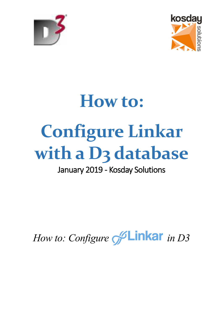



# **How to: Configure Linkar**  with a D<sub>3</sub> database

# January 2019 - Kosday Solutions

# *How to: Configure SLinkar in D3*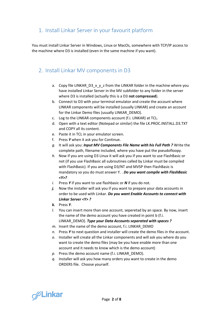## 1. Install Linkar Server in your favourit platform

You must install Linkar Server in Windows, Linux or MacOs, somewhere with TCP/IP access to the machine where D3 is installed (even in the same machine if you want).

### 2. Install Linkar MV components in D3

- a. Copy file LINKAR\_D3\_x\_y\_z from the LINKAR folder in the machine where you have installed Linkar Server in the MV subfolder to any folder in the server where D3 is installed (actually this is a D3 **not compressed**).
- b. Connect to D3 with your terminal emulator and create the account where LINKAR components will be installed (usually LINKAR) and create an account for the Linkar Demo files (usually LINKAR\_DEMO).
- c. Log to the LINKAR components account (f.i. LINKAR) at TCL.
- d. Open with a text editor (Notepad or similar) the file LK.PROC.INSTALL.D3.TXT and COPY all its content.
- e. Paste it in TCL in your emulator screen.
- f. Press *Y* when it ask you for Continue.
- *g.* It will ask you: *Input MV Components File Name with his Full Path ?* Write the complete path, filename included, where you have put the pseudofloopy.
- *h.* Now if you are using D3 Linux it will ask you if you want to use FlashBasic or not (if you use FlashBasic all subroutines called by Linkar must be compiled with FlashBasic). If you are using D3/NT and MVSP then FlashBasic is mandatory so you do must answer Y. . *Do you want compile with FlashBasic <Y>?*
- *i.* Press *Y* if you want to use flashbasic or *N* if you do not.
- *j.* Now the installer will ask you if you want to prepare your data accounts in order to be used with Linkar. *Do you want Enable Accounts to connect with Linkar Server <Y> ?*
- *k.* Press *Y*.
- *l.* You can insert more than one account, seperetad by an space. By now, insert the name of the demo account you have created in point b (f.i. LINKAR\_DEMO). *Type your Data Accounts separated with spaces ?*
- *m.* Insert the name of the demo account, f.i. LINKAR\_DEMO
- *n.* Press *Y* to next question and installer will create the demo files in the account.
- *o.* Installer will create all the Linkar components and will ask you where do you want to create the demo files (may be you have enable more than one account and it needs to know which is the demo account)
- *p.* Press the demo account name (f.i. LINKAR\_DEMO).
- *q.* Installer will ask you how many orders you want to create in the demo ORDERS file. Choose yourself.

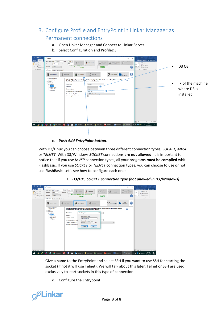# 3. Configure Profile and EntryPoint in Linkar Manager as Permanent connections

- a. Open Linkar Manager and Connect to Linkar Server.
- b. Select Configuration and ProfileD3.



#### c. Push *Add EntryPoint button*.

With D3/Linux you can choose between three different connection types, *SOCKET, MVSP*  or *TELNET.* With D3/Windows *SOCKET* connections **are not allowed**. It is important to notice that if you use *MVSP* connection types, all your programs **must be compiled** whit FlashBasic. If you use *SOCKET* or *TELNET* connection types, you can choose to use or not use FlashBasic. Let's see how to configure each one:



#### *i. D3/UX , SOCKET connection type (not allowed in D3/Windows)*

Give a name to the EntryPoint and select SSH if you want to use SSH for starting the socket (if not it will use Telnet). We will talk about this later. Telnet or SSH are used exclusively to start sockets in this type of connection.

d. Configure the Entrypoint

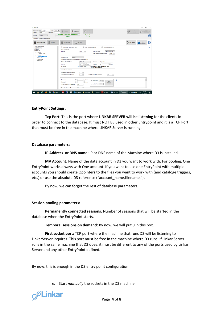| O <sup>C</sup> Manager<br>127,0.0.1<br>11200 수<br>Linkar Server Addr.<br>Port<br>$\frac{11}{10}$ Connect<br>Disconnect<br><b>Ell</b> Stop Linkar<br>Password<br>Usemame<br>admin<br>Manager v.1.2.0 / Linkar Server v.1.2.0<br>Service is<br>English<br>Language<br>$\sim$<br>Running<br><b>ONLINE</b>                                                                                                                                                                                                                                                                                                                                                                                                                                                                             | α<br>$\times$<br>Open<br>ゃ<br>New Configuration<br><b>Instrumentos from</b><br>2                                                                                                                                                                                                   |
|------------------------------------------------------------------------------------------------------------------------------------------------------------------------------------------------------------------------------------------------------------------------------------------------------------------------------------------------------------------------------------------------------------------------------------------------------------------------------------------------------------------------------------------------------------------------------------------------------------------------------------------------------------------------------------------------------------------------------------------------------------------------------------|------------------------------------------------------------------------------------------------------------------------------------------------------------------------------------------------------------------------------------------------------------------------------------|
| Configuration Monitor Client Sessions                                                                                                                                                                                                                                                                                                                                                                                                                                                                                                                                                                                                                                                                                                                                              |                                                                                                                                                                                                                                                                                    |
| Add User<br>周<br><b>Real</b> Add Entry Point<br><b>Remove EntryPoint</b><br><b>Add Profile</b>                                                                                                                                                                                                                                                                                                                                                                                                                                                                                                                                                                                                                                                                                     | Undo Changes<br>Save<br>Configuration<br>0                                                                                                                                                                                                                                         |
| LINKAR MANAGER<br>Automatically Start in Linkar Server<br>Keep DataBase Log Files<br><b>LICENSE DATA</b><br>EntryPoint Settings<br><b>ID-USERS</b><br><b>C-PROFILES</b><br><b>TCP Port</b><br>11400<br>÷<br><b>E-ProfileQM</b><br>- LINKAR DEMO<br><b>E-ProfileD3</b><br><b>LINKAR D3DEMO</b><br>Connection Type<br>SOCKET<br>$\sim$<br><b>Profile Limit/erne</b><br><b>Profile UniData</b><br>Parameters of Connection to DataBase to Open Sessions or Lines<br>- Profilei Base<br>1000253<br>Address IP or DNS Name<br>Usemane<br><b>TCP Port</b><br>D SSH<br>22<br>Password<br>(3) LINKAR DEMO<br><b>MV Account</b><br>Session Pooling Parameters<br>Permanently Connected Sessions<br>٠<br>$ \Phi $<br><b>Temporal Sessions on Demand</b><br>Inactivity seconds for disconnect | Force Customized Control<br>0<br>LINKAR D3DEMO<br>EntryPoint Name<br>Login Expiration Time in seconds<br>3600<br>$\overline{v}$<br>$(1)$ joseba<br>************<br>$\Box$ Show<br>(2)<br><b>REMEMBER: Must be enabled with</b><br><b>LK ENABLE Command</b><br>$\frac{1}{2}$<br>180 |
| (4)<br>Password 2<br>$\Box$ Show<br>(5)<br>$\Box$ Show<br>Password 3<br>Last Socket Port 11101<br><b>TELNET Session EXIT command</b><br>lext<br><b>FAA</b>                                                                                                                                                                                                                                                                                                                                                                                                                                                                                                                                                                                                                         | 6<br>First Socket Port 11100 0<br>Show<br>Database<br>commands                                                                                                                                                                                                                     |

#### **EntryPoint Settings:**

**Tcp Port:** This is the port where **LINKAR SERVER will be listening** for the clients in order to connect to the database. It must NOT BE used in other Entrypoint and it is a TCP Port that must be free in the machine where LINKAR Server is running.

#### **Database parameters:**

**IP Address or DNS name:** IP or DNS name of the Machine where D3 is installed.

**MV Account:** Name of the data account in D3 you want to work with. For pooling: One EntryPoint works always with One account. If you want to use one EntryPoint with multiple accounts you should create Qpointers to the files you want to work with (and cataloge triggers, etc.) or use the absolute D3 reference ("account\_name,filename,").

By now, we can forget the rest of database parameters.

#### **Session pooling parameters:**

**Permanently connected sessions:** Number of sessions that will be started in the database when the EntryPoint starts.

**Temporal sessions on demand:** By now, we will put 0 in this box.

**First socket port:** TCP port where the machine that runs D3 will be listening to LinkarServer inquires. This port must be free in the machine where D3 runs. If Linkar Server runs in the same machine that D3 does, it must be different to any of the ports used by Linkar Server and any other EntryPoint defined.

By now, this is enough in the D3 entry point configuration.

e. Start *manually* the sockets in the D3 machine.

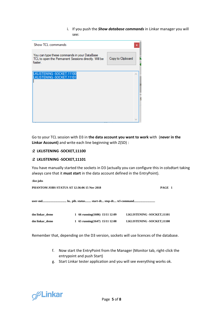i. If you push the *Show database commands* in Linkar manager you will see:

| Show TCL commands                                                                                               | $\boldsymbol{\mathsf{x}}$ |
|-----------------------------------------------------------------------------------------------------------------|---------------------------|
| You can type these commands in your DataBase<br>TCL to open the Permanent Sessions directly. Will be<br>faster. | Copy to Clipboard         |
| LKLISTENING - SOCKET, 11100<br>LKLISTENING - SOCKET, 11101                                                      |                           |
|                                                                                                                 |                           |

Go to your TCL session with D3 in **the data account you want to work** with (**never in the Linkar Account)** and write each line beginning with Z(SD) :

#### **:Z LKLISTENING -SOCKET,11100**

#### **:Z LKLISTENING -SOCKET,11101**

You have manually started the sockets in D3 (actually you can configure this in colsdtart taking always care that it **must start** in the data account defined in the EntryPoint).

| :list-jobs                                         |                                   |                                  |
|----------------------------------------------------|-----------------------------------|----------------------------------|
| <b>PHANTOM JOBS STATUS AT 12:36:06 15 Nov 2018</b> |                                   | PAGE 1                           |
|                                                    |                                   |                                  |
| dm linkar demo                                     | 1 66 running $(1606)$ 15/11 12:09 | <b>LKLISTENING -SOCKET,11101</b> |
| dm linkar demo                                     | 1 65 running $(1647)$ 15/11 12:08 | <b>LKLISTENING -SOCKET,11100</b> |

Remember that, depending on the D3 version, sockets will use licences of the database.

- f. Now start the EntryPoint from the Manager (Monitor tab, right-click the entrypoint and push Start)
- g. Start Linkar tester application and you will see everything works ok.

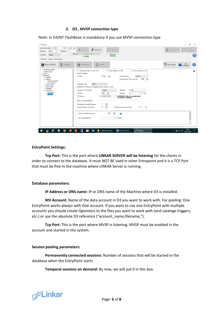#### *ii. D3 , MVSP connection type*

Note: In D3/NT FlashBasic is mandatory if you use MVSP connection type

| <sup>6</sup> Manager<br>127.0.0.1<br>$11200$ $\div$<br>Linkar Server Addr.<br>Port<br><br>Password<br>Usemame<br>admin<br>English<br>Language<br>$\checkmark$                                                                                                                    | $\frac{11}{2}$ Connect<br>Disconnect<br><b>Englisher</b> Stop Linkar<br>Service<br>Manager v.1.3.2 / Linkar Server v.1.3.2<br>Service is<br><b>Running</b><br>ONLINE                                                                                                                                                                                                                                                                                                                                                                                                                                                                                                                                                                                                                                                                                                                                                                                                                                | σ<br>$\times$<br>Open<br>New Configuration<br>(offline)<br>$\overline{\mathbb{Q}}$<br>Configuration from<br>File (offine)<br>? |
|----------------------------------------------------------------------------------------------------------------------------------------------------------------------------------------------------------------------------------------------------------------------------------|-----------------------------------------------------------------------------------------------------------------------------------------------------------------------------------------------------------------------------------------------------------------------------------------------------------------------------------------------------------------------------------------------------------------------------------------------------------------------------------------------------------------------------------------------------------------------------------------------------------------------------------------------------------------------------------------------------------------------------------------------------------------------------------------------------------------------------------------------------------------------------------------------------------------------------------------------------------------------------------------------------|--------------------------------------------------------------------------------------------------------------------------------|
| Configuration Monitor Client Sessions                                                                                                                                                                                                                                            |                                                                                                                                                                                                                                                                                                                                                                                                                                                                                                                                                                                                                                                                                                                                                                                                                                                                                                                                                                                                     |                                                                                                                                |
| 凬<br>Add Profile<br>Remove EntryPoint                                                                                                                                                                                                                                            | Add User<br>$\Box$<br>Add EntryPoint                                                                                                                                                                                                                                                                                                                                                                                                                                                                                                                                                                                                                                                                                                                                                                                                                                                                                                                                                                | 2<br>Undo Changes<br>Save<br>Configuration                                                                                     |
| <b>LINKAR MANAGER</b><br><b>LICENSE DATA</b><br><b>LE-USERS</b><br><b>PROFILES</b><br>in-ProfileQM<br><b>A</b> -ProfileD3<br>-LINKAR D3DEMO<br><b>D3LXTELNET</b><br><b>Profile UniVerse</b><br>ProfileUniData<br><b>ProfileiBase</b><br>ProfileD3NT<br><b>D3TELNET</b><br>D3MVSP | Automatically Start in Linkar Server<br>Keep Database Log Files<br>Force Customized Control<br><b>EntryPoint Settings</b><br>11700<br>$\left  \cdot \right $<br>D3MVSP<br><b>EntryPoint Name</b><br><b>TCP Port</b><br>H<br>3600<br>Login Expiration Time in seconds<br><b>MVSP</b><br><b>Connection Type</b><br>$\checkmark$<br>Parameters of Connection to Database to Open Sessions or Lines<br>$(1)$ DM<br>Address IP or DNS Name<br>localhost<br>Usemame<br>H<br>$(2)$ $\overline{ }$<br><b>TCP Port</b><br>9000<br>$\Box$ Show<br>Password<br>(3) LINKAR DEMO<br><b>REMEMBER: Must be enabled with</b><br><b>MV Account</b><br><b>LK.ENABLE Command</b><br><b>Session Pooling Parameters</b><br>H<br><b>Permanently Connected Sessions</b><br>$\left  \div \right $<br><b>Temporal Sessions on Demand</b><br>n<br>Inactivity seconds for disconnect<br>180<br>$\frac{1}{2}$<br>$\left  \div \right $<br>Timeout in Database Answers<br>600<br>Q)<br>$\Box$ SHOW<br><b>MV Account Password</b> | Ø                                                                                                                              |
| е<br>÷                                                                                                                                                                                                                                                                           | $\overline{z}$<br>Manager<br>$W$ How to D3.docx -<br>C:\datos\linkar\po<br>$0\overline{2}$                                                                                                                                                                                                                                                                                                                                                                                                                                                                                                                                                                                                                                                                                                                                                                                                                                                                                                          | 10:08<br>$\land$ $\bullet$ $\Box$ 4% 08/01/2019<br>$\Box$                                                                      |

#### **EntryPoint Settings:**

**Tcp Port:** This is the port where **LINKAR SERVER will be listening** for the clients in order to connect to the database. It must NOT BE used in other Entrypoint and it is a TCP Port that must be free in the machine where LINKAR Server is running.

#### **Database parameters:**

**IP Address or DNS name:** IP or DNS name of the Machine where D3 is installed.

**MV Account:** Name of the data account in D3 you want to work with. For pooling: One EntryPoint works always with One account. If you want to use one EntryPoint with multiple accounts you should create Qpointers to the files you want to work with (and cataloge triggers, etc.) or use the absolute D3 reference ("account\_name,filename,").

**Tcp Port:** This is the port where MVSP is listening. MVSP must be enabled in the account and started in the system.

#### **Session pooling parameters:**

**Permanently connected sessions:** Number of sessions that will be started in the database when the EntryPoint starts.

**Temporal sessions on demand:** By now, we will put 0 in this box.

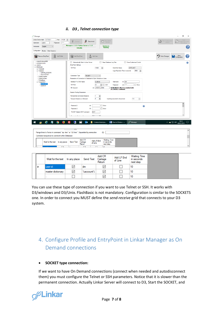#### *ii. D3 , Telnet connection type*

| Manager                                                                                                                                                                                                                                                                      |                                                                                                                                                                                                                                                                                                                                                                                                                                                                                                                                                                                                                                                                                                                                                                                                                                                                          | σ<br>$\times$                                                                                      |
|------------------------------------------------------------------------------------------------------------------------------------------------------------------------------------------------------------------------------------------------------------------------------|--------------------------------------------------------------------------------------------------------------------------------------------------------------------------------------------------------------------------------------------------------------------------------------------------------------------------------------------------------------------------------------------------------------------------------------------------------------------------------------------------------------------------------------------------------------------------------------------------------------------------------------------------------------------------------------------------------------------------------------------------------------------------------------------------------------------------------------------------------------------------|----------------------------------------------------------------------------------------------------|
| 127.0.0.1<br>11200 $\div$<br>Linkar Server Addr.<br>Port<br><br>admin<br>Password<br>Usemame                                                                                                                                                                                 | $\frac{11}{\sqrt{2}}$ Disconnect<br>Stop Linkar<br>ΞГ<br>Connect<br><b>Service</b>                                                                                                                                                                                                                                                                                                                                                                                                                                                                                                                                                                                                                                                                                                                                                                                       | Open<br>$\frac{3}{2}$<br>New Configuration<br>Configuration from<br>(offline)<br>位<br>File Inffine |
| English<br>Language<br>$\checkmark$                                                                                                                                                                                                                                          | Manager v.1.3.2 / Linkar Server v.1.3.2<br>Service is<br>Running<br><b>ONLINE</b>                                                                                                                                                                                                                                                                                                                                                                                                                                                                                                                                                                                                                                                                                                                                                                                        | 7                                                                                                  |
| Configuration Monitor Client Sessions                                                                                                                                                                                                                                        |                                                                                                                                                                                                                                                                                                                                                                                                                                                                                                                                                                                                                                                                                                                                                                                                                                                                          |                                                                                                    |
| 原<br>F<br>Remove EntryPoint<br><b>Add Profile</b>                                                                                                                                                                                                                            | Add User<br>Add EntryPoint                                                                                                                                                                                                                                                                                                                                                                                                                                                                                                                                                                                                                                                                                                                                                                                                                                               | Undo Changes<br>Save<br>Configuration<br>3                                                         |
| <b>LINKAR MANAGER</b><br><b>LICENSE DATA</b><br><b>E-USERS</b><br><b>PROFILES</b><br><b>E</b> -ProfileQM<br><b>B</b> -ProfileD3<br>-- LINKAR_D3DEMO<br><b>D3LXTELNET</b><br>Profile UniVerse<br>ProfileUniData<br>ProfilejBase<br>ProfileD3NT<br><b>D3TELNET</b><br>- D3MVSP | Force Customized Control<br>Automatically Start in Linkar Server<br>Keep Database Log Files<br><b>EntryPoint Settings</b><br>11600<br><b>D3TELNET</b><br><b>TCP Port</b><br>H<br><b>EntryPoint Name</b><br>Login Expiration Time in seconds<br>3600<br>÷<br><b>TELNET</b><br><b>Connection Type</b><br>$\checkmark$<br>Parameters of Connection to Database to Open Sessions or Lines<br>$(1)$ DM<br>Address IP or DNS Name<br>localhost<br>Usemame<br>23<br>(2)<br><b>TCP Port</b><br>$\div$ $\Box$ SSH<br>$\Box$ Show<br>Password<br>(3) LINKAR_DEMO<br><b>MV Account</b><br><b>REMEMBER: Must be enabled with</b><br><b>LK.ENABLE Command</b><br><b>Session Pooling Parameters</b><br><b>Permanently Connected Sessions</b><br>H<br>$\left  \div \right $<br>'n<br><b>Temporal Sessions on Demand</b><br>$\frac{a}{\tau}$<br>Inactivity seconds for disconnect<br>180 | Ø                                                                                                  |
|                                                                                                                                                                                                                                                                              | $\Box$ Show<br>(4)<br>Password 2<br>Ø<br>(5)<br>Password 3<br>$\Box$ Show<br>EXIT<br><b>TELNET Session EXIT command</b>                                                                                                                                                                                                                                                                                                                                                                                                                                                                                                                                                                                                                                                                                                                                                  | 10:13                                                                                              |
| e<br>E<br>₩<br>э<br>÷<br>л                                                                                                                                                                                                                                                   | Manager<br>О,<br>$W \equiv$ How to D3.docx -<br>C:\datos\linkar\po<br>$0\overline{2}$                                                                                                                                                                                                                                                                                                                                                                                                                                                                                                                                                                                                                                                                                                                                                                                    | $\land$ $\bullet$ $\Box$ 4) $\frac{10.15}{03/01/2019}$<br>□                                        |
| Range lines to Force in command "ap -line" or "d3 -line". Separated by semicolon<br>Command sequence to connect to the Database                                                                                                                                              | $\mathbf{r}$<br>(6)                                                                                                                                                                                                                                                                                                                                                                                                                                                                                                                                                                                                                                                                                                                                                                                                                                                      | ́                                                                                                  |
| In any place<br>Wait for the text                                                                                                                                                                                                                                            | Add CR<br><b>Waiting Time</b><br>Add LF End<br>Send Text<br>Camage<br>in seconds<br>of Line<br>Return<br>next step                                                                                                                                                                                                                                                                                                                                                                                                                                                                                                                                                                                                                                                                                                                                                       | $\checkmark$                                                                                       |
|                                                                                                                                                                                                                                                                              | ═                                                                                                                                                                                                                                                                                                                                                                                                                                                                                                                                                                                                                                                                                                                                                                                                                                                                        |                                                                                                    |

| Wait for the text  | In any place | Send Text | Add CR<br>Camage<br>Retum | Add LF End<br>of Line | <b>Waiting Time</b><br>in seconds<br>next step |  |
|--------------------|--------------|-----------|---------------------------|-----------------------|------------------------------------------------|--|
| user id:           | $\checkmark$ | dm        | ∨                         |                       | 10                                             |  |
| master dictionary: | $\checkmark$ | %account% | $\overline{\smile}$       |                       | 10                                             |  |
|                    |              |           | $\checkmark$              |                       | 10                                             |  |

You can use these type of connection if you want to use Telnet or SSH. It works with D3/windows and D3/Unix. FlashBasic is not mandatory. Configuration is similar to the SOCKETS one. In order to connect you MUST define the *send-receive* grid that connects to your D3 system.

# 4. Configure Profile and EntryPoint in Linkar Manager as On Demand connections

#### • **SOCKET type connection:**

If we want to have On Demand connections (connect when needed and autodisconnect them) you must configure the Telnet or SSH parameters. Notice that it is slower than the permanent connection. Actually Linkar Server will connect to D3, Start the SOCKET, and